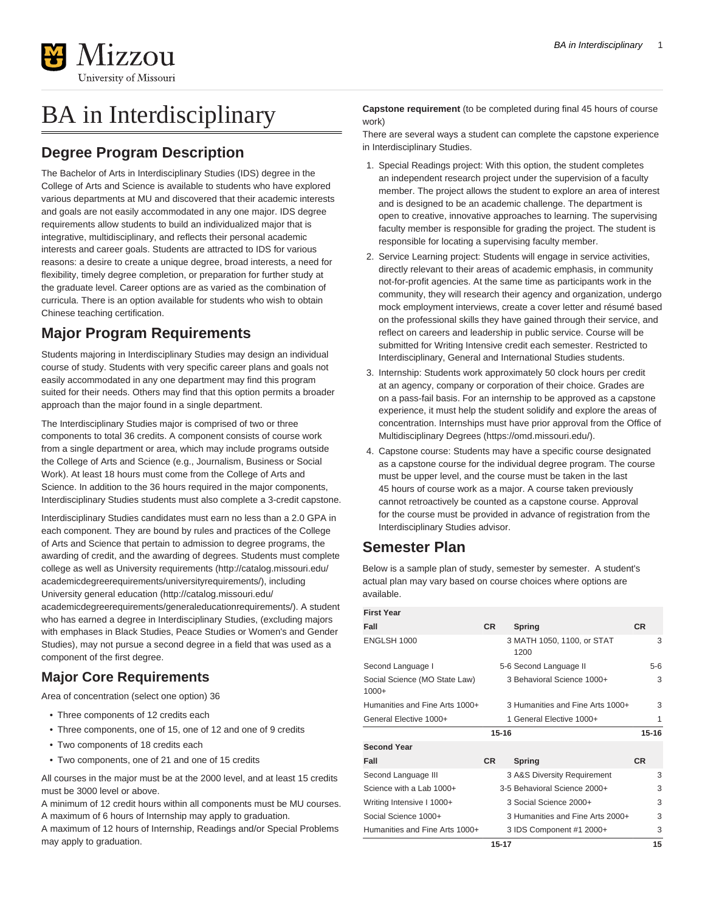

# BA in Interdisciplinary

## **Degree Program Description**

The Bachelor of Arts in Interdisciplinary Studies (IDS) degree in the College of Arts and Science is available to students who have explored various departments at MU and discovered that their academic interests and goals are not easily accommodated in any one major. IDS degree requirements allow students to build an individualized major that is integrative, multidisciplinary, and reflects their personal academic interests and career goals. Students are attracted to IDS for various reasons: a desire to create a unique degree, broad interests, a need for flexibility, timely degree completion, or preparation for further study at the graduate level. Career options are as varied as the combination of curricula. There is an option available for students who wish to obtain Chinese teaching certification.

# **Major Program Requirements**

Students majoring in Interdisciplinary Studies may design an individual course of study. Students with very specific career plans and goals not easily accommodated in any one department may find this program suited for their needs. Others may find that this option permits a broader approach than the major found in a single department.

The Interdisciplinary Studies major is comprised of two or three components to total 36 credits. A component consists of course work from a single department or area, which may include programs outside the College of Arts and Science (e.g., Journalism, Business or Social Work). At least 18 hours must come from the College of Arts and Science. In addition to the 36 hours required in the major components, Interdisciplinary Studies students must also complete a 3-credit capstone.

Interdisciplinary Studies candidates must earn no less than a 2.0 GPA in each component. They are bound by rules and practices of the College of Arts and Science that pertain to admission to degree programs, the awarding of credit, and the awarding of degrees. Students must complete college as well as [University requirements](http://catalog.missouri.edu/academicdegreerequirements/universityrequirements/) ([http://catalog.missouri.edu/](http://catalog.missouri.edu/academicdegreerequirements/universityrequirements/) [academicdegreerequirements/universityrequirements/\)](http://catalog.missouri.edu/academicdegreerequirements/universityrequirements/), including [University general education](http://catalog.missouri.edu/academicdegreerequirements/generaleducationrequirements/) ([http://catalog.missouri.edu/](http://catalog.missouri.edu/academicdegreerequirements/generaleducationrequirements/) [academicdegreerequirements/generaleducationrequirements/](http://catalog.missouri.edu/academicdegreerequirements/generaleducationrequirements/)). A student who has earned a degree in Interdisciplinary Studies, (excluding majors with emphases in Black Studies, Peace Studies or Women's and Gender Studies), may not pursue a second degree in a field that was used as a component of the first degree.

### **Major Core Requirements**

Area of concentration (select one option) 36

- Three components of 12 credits each
- Three components, one of 15, one of 12 and one of 9 credits
- Two components of 18 credits each
- Two components, one of 21 and one of 15 credits

All courses in the major must be at the 2000 level, and at least 15 credits must be 3000 level or above.

A minimum of 12 credit hours within all components must be MU courses. A maximum of 6 hours of Internship may apply to graduation.

A maximum of 12 hours of Internship, Readings and/or Special Problems may apply to graduation.

**Capstone requirement** (to be completed during final 45 hours of course work)

There are several ways a student can complete the capstone experience in Interdisciplinary Studies.

- 1. Special Readings project: With this option, the student completes an independent research project under the supervision of a faculty member. The project allows the student to explore an area of interest and is designed to be an academic challenge. The department is open to creative, innovative approaches to learning. The supervising faculty member is responsible for grading the project. The student is responsible for locating a supervising faculty member.
- 2. Service Learning project: Students will engage in service activities, directly relevant to their areas of academic emphasis, in community not-for-profit agencies. At the same time as participants work in the community, they will research their agency and organization, undergo mock employment interviews, create a cover letter and résumé based on the professional skills they have gained through their service, and reflect on careers and leadership in public service. Course will be submitted for Writing Intensive credit each semester. Restricted to Interdisciplinary, General and International Studies students.
- 3. Internship: Students work approximately 50 clock hours per credit at an agency, company or corporation of their choice. Grades are on a pass-fail basis. For an internship to be approved as a capstone experience, it must help the student solidify and explore the areas of concentration. Internships must have prior approval from the [Office of](https://omd.missouri.edu/) [Multidisciplinary Degrees](https://omd.missouri.edu/) (<https://omd.missouri.edu/>).
- 4. Capstone course: Students may have a specific course designated as a capstone course for the individual degree program. The course must be upper level, and the course must be taken in the last 45 hours of course work as a major. A course taken previously cannot retroactively be counted as a capstone course. Approval for the course must be provided in advance of registration from the Interdisciplinary Studies advisor.

### **Semester Plan**

Below is a sample plan of study, semester by semester. A student's actual plan may vary based on course choices where options are available.

| <b>First Year</b>                        |           |                                    |           |  |
|------------------------------------------|-----------|------------------------------------|-----------|--|
| Fall                                     | <b>CR</b> | <b>Spring</b>                      | <b>CR</b> |  |
| ENGLSH 1000                              |           | 3 MATH 1050, 1100, or STAT<br>1200 | 3         |  |
| Second Language I                        |           | 5-6 Second Language II             | 5-6       |  |
| Social Science (MO State Law)<br>$1000+$ |           | 3 Behavioral Science 1000+         | 3         |  |
| Humanities and Fine Arts 1000+           |           | 3 Humanities and Fine Arts 1000+   | 3         |  |
| General Elective 1000+                   |           | 1 General Elective 1000+           | 1         |  |
|                                          | $15 - 16$ |                                    |           |  |
| <b>Second Year</b>                       |           |                                    |           |  |
| Fall                                     | <b>CR</b> | Spring                             | <b>CR</b> |  |
| Second Language III                      |           | 3 A&S Diversity Requirement        | 3         |  |
| Science with a Lab 1000+                 |           | 3-5 Behavioral Science 2000+       | 3         |  |
| Writing Intensive I 1000+                |           | 3 Social Science 2000+             | 3         |  |
| Social Science 1000+                     |           | 3 Humanities and Fine Arts 2000+   | 3         |  |
| Humanities and Fine Arts 1000+           |           | 3 IDS Component #1 2000+           | 3         |  |
| $15 - 17$                                |           |                                    |           |  |